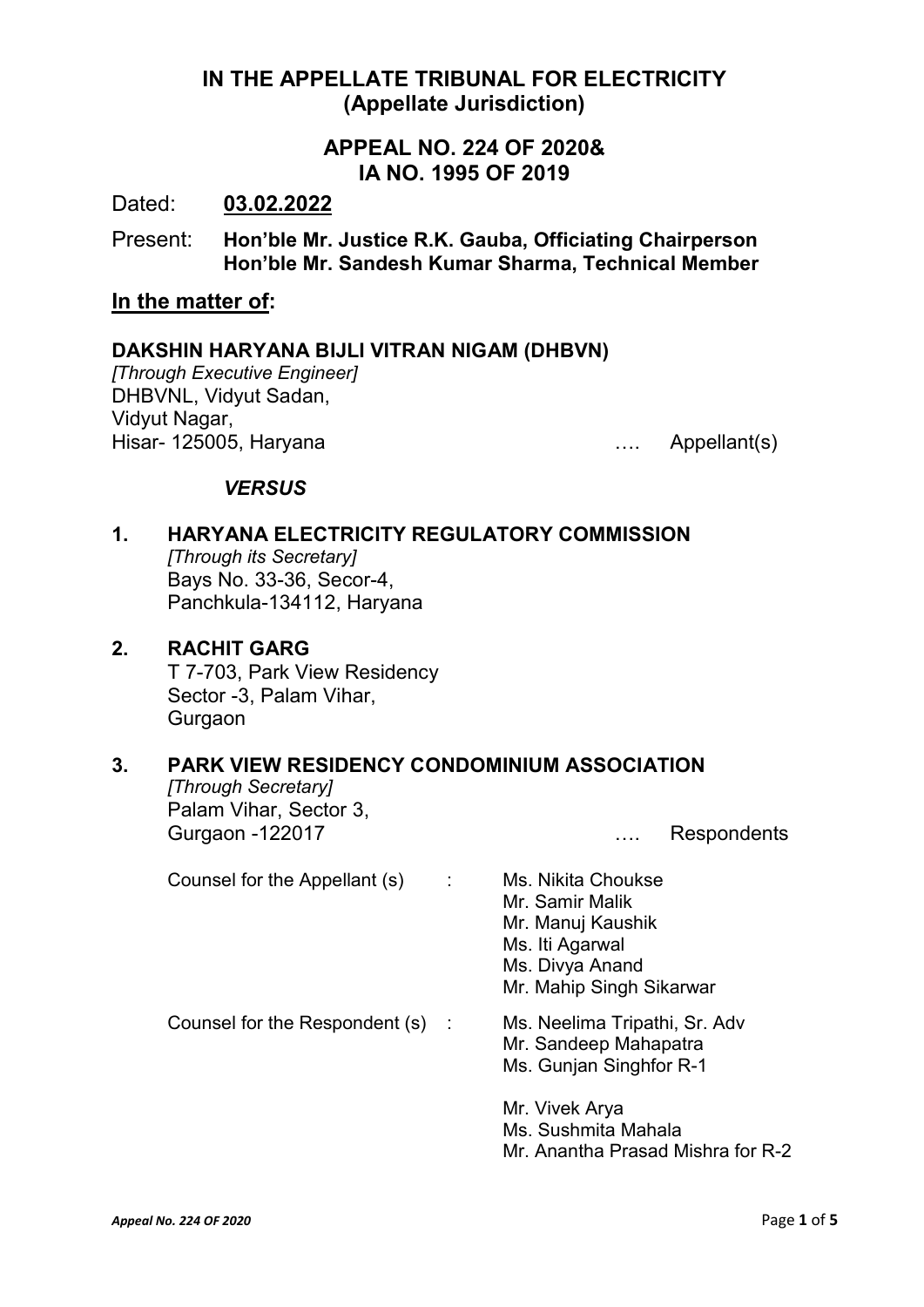## IN THE APPELLATE TRIBUNAL FOR ELECTRICITY (Appellate Jurisdiction)

# APPEAL NO. 224 OF 2020& IA NO. 1995 OF 2019

Dated: 03.02.2022

Present: Hon'ble Mr. Justice R.K. Gauba, Officiating Chairperson Hon'ble Mr. Sandesh Kumar Sharma, Technical Member

### In the matter of:

#### DAKSHIN HARYANA BIJLI VITRAN NIGAM (DHBVN)

*[Through Executive Engineer]* DHBVNL, Vidyut Sadan, Vidyut Nagar, Hisar- 125005, Haryana merupakan kemudian kemudian kemudian kemudian kemudian kemudian kemudian kemudian kemudi

#### *VERSUS*

| $\mathbf 1$ . | <b>HARYANA ELECTRICITY REGULATORY COMMISSION</b><br>[Through its Secretary]<br>Bays No. 33-36, Secor-4,<br>Panchkula-134112, Haryana         |   |                                                                                                                              |  |
|---------------|----------------------------------------------------------------------------------------------------------------------------------------------|---|------------------------------------------------------------------------------------------------------------------------------|--|
| 2.            | <b>RACHIT GARG</b><br>T 7-703, Park View Residency<br>Sector -3, Palam Vihar,<br>Gurgaon                                                     |   |                                                                                                                              |  |
| 3.            | <b>PARK VIEW RESIDENCY CONDOMINIUM ASSOCIATION</b><br>[Through Secretary]<br>Palam Vihar, Sector 3,<br>Gurgaon -122017<br><b>Respondents</b> |   |                                                                                                                              |  |
|               | Counsel for the Appellant (s)                                                                                                                | ÷ | Ms. Nikita Choukse<br>Mr. Samir Malik<br>Mr. Manuj Kaushik<br>Ms. Iti Agarwal<br>Ms. Divya Anand<br>Mr. Mahip Singh Sikarwar |  |
|               | Counsel for the Respondent (s) :                                                                                                             |   | Ms. Neelima Tripathi, Sr. Adv<br>Mr. Sandeep Mahapatra<br>Ms. Gunjan Singhfor R-1                                            |  |
|               |                                                                                                                                              |   | Mr. Vivek Arya<br>Ms. Sushmita Mahala                                                                                        |  |

Mr. Anantha Prasad Mishra for R-2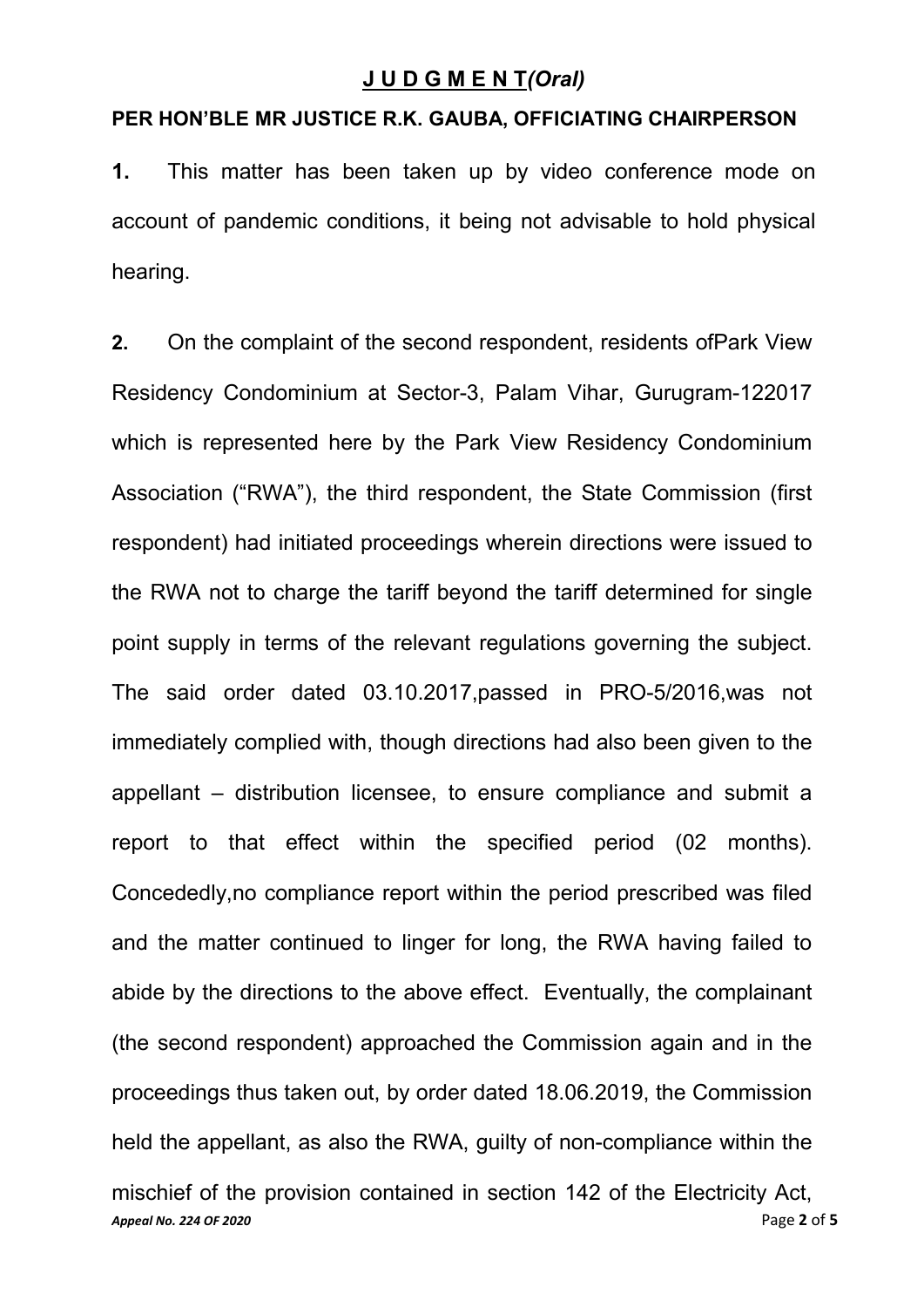#### J U D G M E N T*(Oral)*

#### PER HON'BLE MR JUSTICE R.K. GAUBA, OFFICIATING CHAIRPERSON

1. This matter has been taken up by video conference mode on account of pandemic conditions, it being not advisable to hold physical hearing.

*Appeal No. 224 OF 2020* Page 2 of 5 2. On the complaint of the second respondent, residents ofPark View Residency Condominium at Sector-3, Palam Vihar, Gurugram-122017 which is represented here by the Park View Residency Condominium Association ("RWA"), the third respondent, the State Commission (first respondent) had initiated proceedings wherein directions were issued to the RWA not to charge the tariff beyond the tariff determined for single point supply in terms of the relevant regulations governing the subject. The said order dated 03.10.2017,passed in PRO-5/2016,was not immediately complied with, though directions had also been given to the appellant – distribution licensee, to ensure compliance and submit a report to that effect within the specified period (02 months). Concededly,no compliance report within the period prescribed was filed and the matter continued to linger for long, the RWA having failed to abide by the directions to the above effect. Eventually, the complainant (the second respondent) approached the Commission again and in the proceedings thus taken out, by order dated 18.06.2019, the Commission held the appellant, as also the RWA, guilty of non-compliance within the mischief of the provision contained in section 142 of the Electricity Act,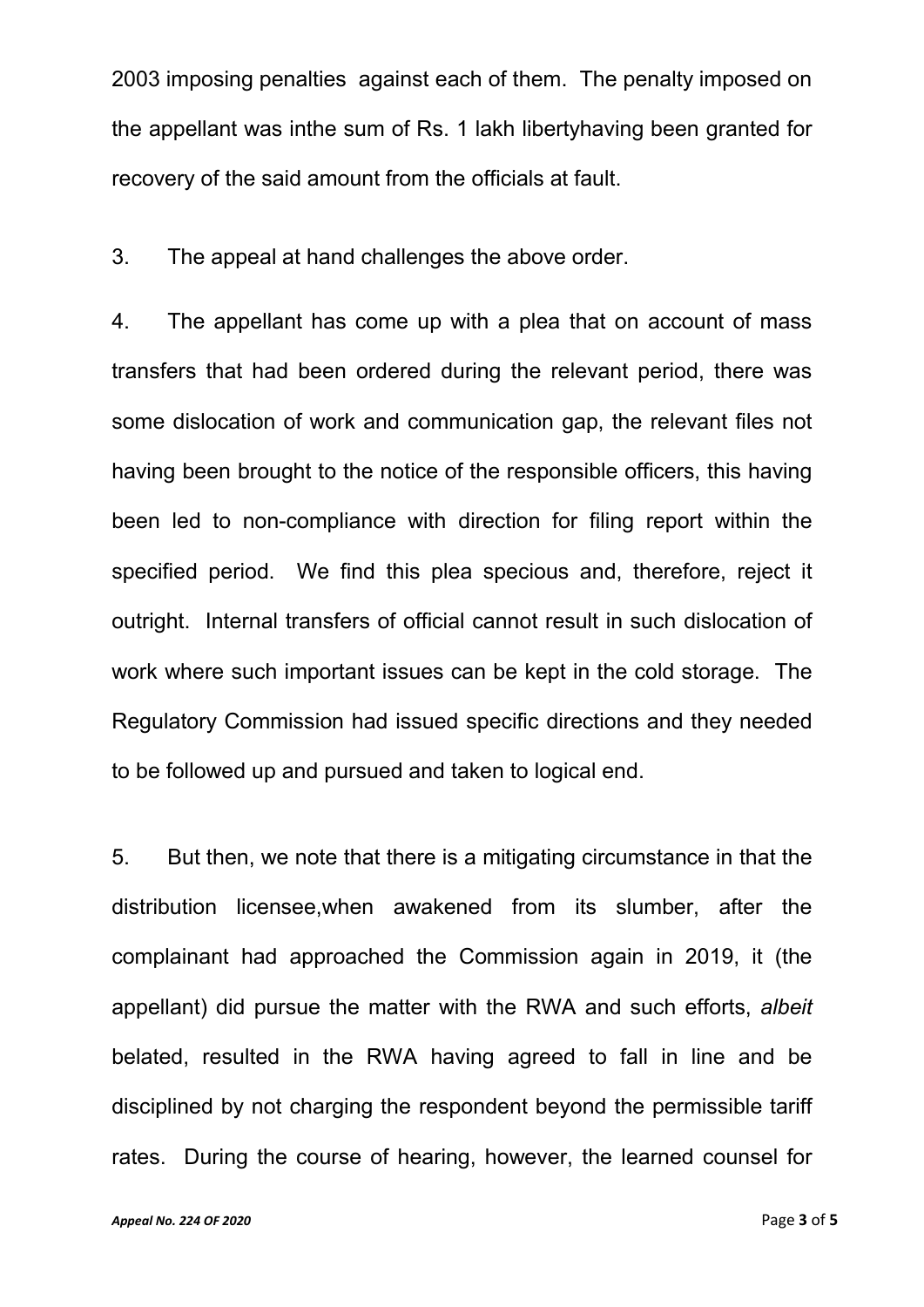2003 imposing penalties against each of them. The penalty imposed on the appellant was inthe sum of Rs. 1 lakh libertyhaving been granted for recovery of the said amount from the officials at fault.

3. The appeal at hand challenges the above order.

4. The appellant has come up with a plea that on account of mass transfers that had been ordered during the relevant period, there was some dislocation of work and communication gap, the relevant files not having been brought to the notice of the responsible officers, this having been led to non-compliance with direction for filing report within the specified period. We find this plea specious and, therefore, reject it outright. Internal transfers of official cannot result in such dislocation of work where such important issues can be kept in the cold storage. The Regulatory Commission had issued specific directions and they needed to be followed up and pursued and taken to logical end.

5. But then, we note that there is a mitigating circumstance in that the distribution licensee,when awakened from its slumber, after the complainant had approached the Commission again in 2019, it (the appellant) did pursue the matter with the RWA and such efforts, *albeit*  belated, resulted in the RWA having agreed to fall in line and be disciplined by not charging the respondent beyond the permissible tariff rates. During the course of hearing, however, the learned counsel for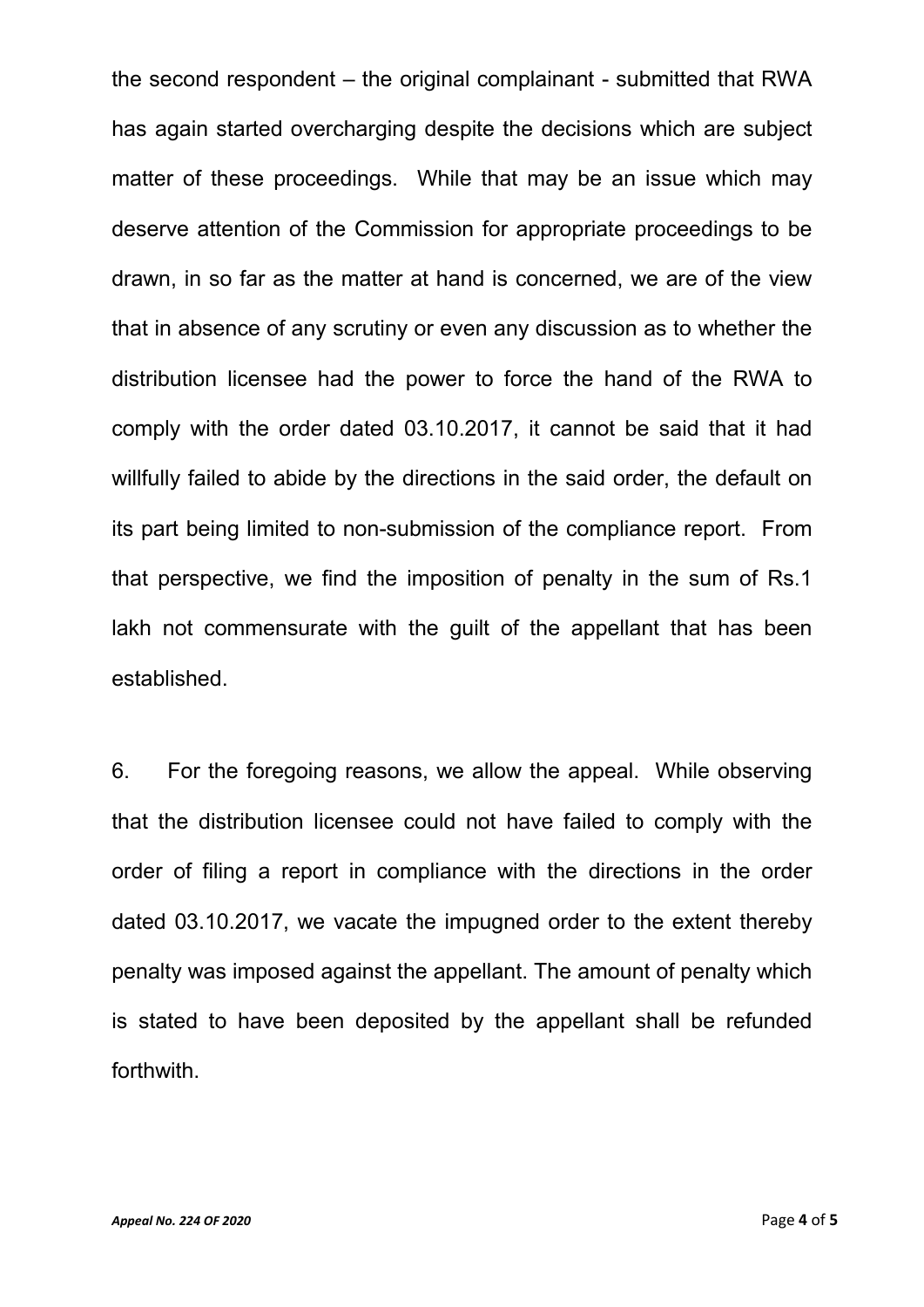the second respondent – the original complainant - submitted that RWA has again started overcharging despite the decisions which are subject matter of these proceedings. While that may be an issue which may deserve attention of the Commission for appropriate proceedings to be drawn, in so far as the matter at hand is concerned, we are of the view that in absence of any scrutiny or even any discussion as to whether the distribution licensee had the power to force the hand of the RWA to comply with the order dated 03.10.2017, it cannot be said that it had willfully failed to abide by the directions in the said order, the default on its part being limited to non-submission of the compliance report. From that perspective, we find the imposition of penalty in the sum of Rs.1 lakh not commensurate with the guilt of the appellant that has been established.

6. For the foregoing reasons, we allow the appeal. While observing that the distribution licensee could not have failed to comply with the order of filing a report in compliance with the directions in the order dated 03.10.2017, we vacate the impugned order to the extent thereby penalty was imposed against the appellant. The amount of penalty which is stated to have been deposited by the appellant shall be refunded forthwith.